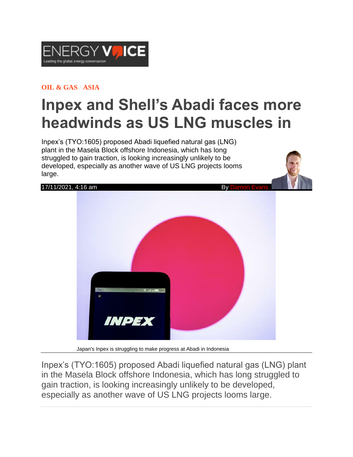

## **OIL & [GAS](https://www.energyvoice.com/category/oilandgas/) / [ASIA](https://www.energyvoice.com/category/oilandgas/asia/)**

## **Inpex and Shell's Abadi faces more headwinds as US LNG muscles in**

Inpex's (TYO:1605) proposed Abadi liquefied natural gas (LNG) plant in the Masela Block offshore Indonesia, which has long struggled to gain traction, is looking increasingly unlikely to be developed, especially as another wave of US LNG projects looms large.



Japan's Inpex is struggling to make progress at Abadi in Indonesia

Inpex's (TYO:1605) proposed Abadi liquefied natural gas (LNG) plant in the Masela Block offshore Indonesia, which has long struggled to gain traction, is looking increasingly unlikely to be developed, especially as another wave of US LNG projects looms large.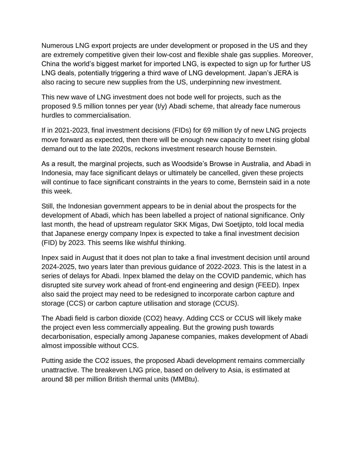Numerous LNG export projects are under development or proposed in the US and they are extremely competitive given their low-cost and flexible shale gas supplies. Moreover, China the world's biggest market for imported LNG, is expected to sign up for further US LNG deals, potentially triggering a third wave of LNG development. Japan's JERA is also racing to secure new supplies from the US, underpinning new investment.

This new wave of LNG investment does not bode well for projects, such as the proposed 9.5 million tonnes per year (t/y) Abadi scheme, that already face numerous hurdles to commercialisation.

If in 2021-2023, final investment decisions (FIDs) for 69 million t/y of new LNG projects move forward as expected, then there will be enough new capacity to meet rising global demand out to the late 2020s, reckons investment research house Bernstein.

As a result, the marginal projects, such as Woodside's Browse in Australia, and Abadi in Indonesia, may face significant delays or ultimately be cancelled, given these projects will continue to face significant constraints in the years to come, Bernstein said in a note this week.

Still, the Indonesian government appears to be in denial about the prospects for the development of Abadi, which has been labelled a project of national significance. Only last month, the head of upstream regulator SKK Migas, Dwi Soetjipto, told local media that Japanese energy company Inpex is expected to take a final investment decision (FID) by 2023. This seems like wishful thinking.

Inpex said in August that it does not plan to take a final investment decision until around 2024-2025, two years later than previous guidance of 2022-2023. This is the latest in a series of delays for Abadi. Inpex blamed the delay on the COVID pandemic, which has disrupted site survey work ahead of front-end engineering and design (FEED). Inpex also said the project may need to be redesigned to incorporate carbon capture and storage (CCS) or carbon capture utilisation and storage (CCUS).

The Abadi field is carbon dioxide (CO2) heavy. Adding CCS or CCUS will likely make the project even less commercially appealing. But the growing push towards decarbonisation, especially among Japanese companies, makes development of Abadi almost impossible without CCS.

Putting aside the CO2 issues, the proposed Abadi development remains commercially unattractive. The breakeven LNG price, based on delivery to Asia, is estimated at around \$8 per million British thermal units (MMBtu).